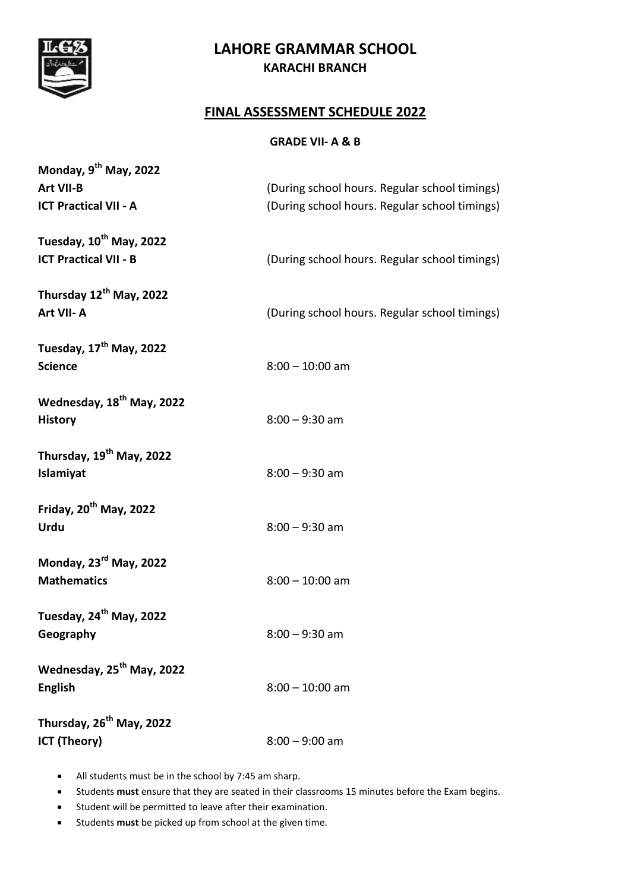

# **LAHORE GRAMMAR SCHOOL KARACHI BRANCH**

#### **FINAL ASSESSMENT SCHEDULE 2022**

#### **GRADE VII- A & B**

| Monday, 9 <sup>th</sup> May, 2022<br>Art VII-B<br><b>ICT Practical VII - A</b> | (During school hours. Regular school timings)<br>(During school hours. Regular school timings) |
|--------------------------------------------------------------------------------|------------------------------------------------------------------------------------------------|
| Tuesday, 10 <sup>th</sup> May, 2022<br><b>ICT Practical VII - B</b>            | (During school hours. Regular school timings)                                                  |
| Thursday 12th May, 2022<br>Art VII-A                                           | (During school hours. Regular school timings)                                                  |
| Tuesday, 17 <sup>th</sup> May, 2022<br><b>Science</b>                          | $8:00 - 10:00$ am                                                                              |
| Wednesday, 18 <sup>th</sup> May, 2022<br><b>History</b>                        | $8:00 - 9:30$ am                                                                               |
| Thursday, 19 <sup>th</sup> May, 2022<br>Islamiyat                              | $8:00 - 9:30$ am                                                                               |
| Friday, 20 <sup>th</sup> May, 2022<br><b>Urdu</b>                              | $8:00 - 9:30$ am                                                                               |
| Monday, 23 <sup>rd</sup> May, 2022<br><b>Mathematics</b>                       | $8:00 - 10:00$ am                                                                              |
| Tuesday, 24 <sup>th</sup> May, 2022<br>Geography                               | $8:00 - 9:30$ am                                                                               |
| Wednesday, 25 <sup>th</sup> May, 2022<br><b>English</b>                        | $8:00 - 10:00$ am                                                                              |
| Thursday, 26 <sup>th</sup> May, 2022<br><b>ICT (Theory)</b>                    | $8:00 - 9:00$ am                                                                               |

- All students must be in the school by 7:45 am sharp.
- Students **must** ensure that they are seated in their classrooms 15 minutes before the Exam begins.
- Student will be permitted to leave after their examination.
- Students **must** be picked up from school at the given time.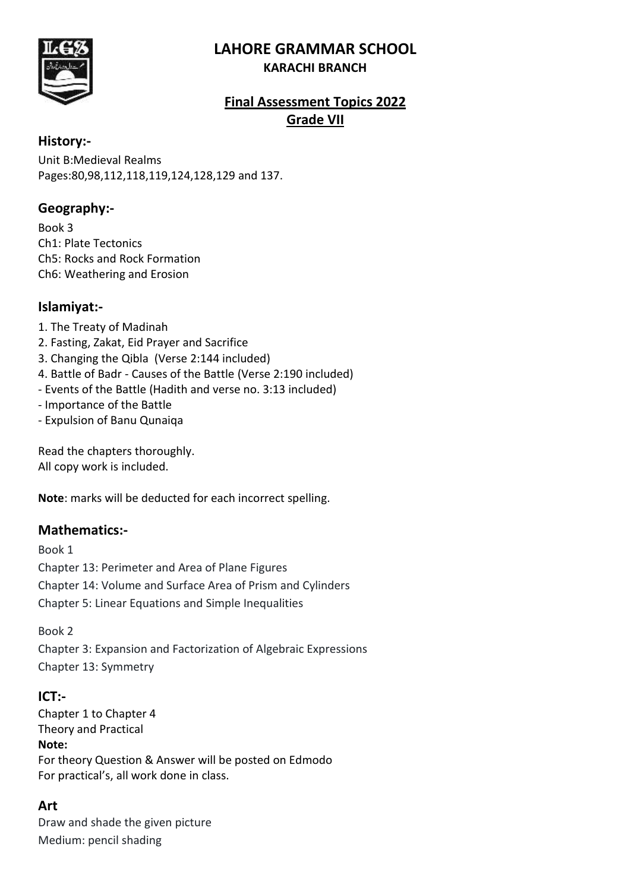# **LAHORE GRAMMAR SCHOOL**



#### **KARACHI BRANCH**

# **Final Assessment Topics 2022 Grade VII**

#### **History:-**

Unit B:Medieval Realms Pages:80,98,112,118,119,124,128,129 and 137.

#### **Geography:-**

Book 3 Ch1: Plate Tectonics Ch5: Rocks and Rock Formation Ch6: Weathering and Erosion

#### **Islamiyat:-**

- 1. The Treaty of Madinah
- 2. Fasting, Zakat, Eid Prayer and Sacrifice
- 3. Changing the Qibla (Verse 2:144 included)
- 4. Battle of Badr Causes of the Battle (Verse 2:190 included)
- Events of the Battle (Hadith and verse no. 3:13 included)
- Importance of the Battle
- Expulsion of Banu Qunaiqa

Read the chapters thoroughly. All copy work is included.

**Note**: marks will be deducted for each incorrect spelling.

# **Mathematics:-**

Book 1 Chapter 13: Perimeter and Area of Plane Figures Chapter 14: Volume and Surface Area of Prism and Cylinders Chapter 5: Linear Equations and Simple Inequalities

#### Book 2

Chapter 3: Expansion and Factorization of Algebraic Expressions Chapter 13: Symmetry

#### **ICT:-**

Chapter 1 to Chapter 4 Theory and Practical **Note:** For theory Question & Answer will be posted on Edmodo For practical's, all work done in class.

# **Art**

Draw and shade the given picture Medium: pencil shading